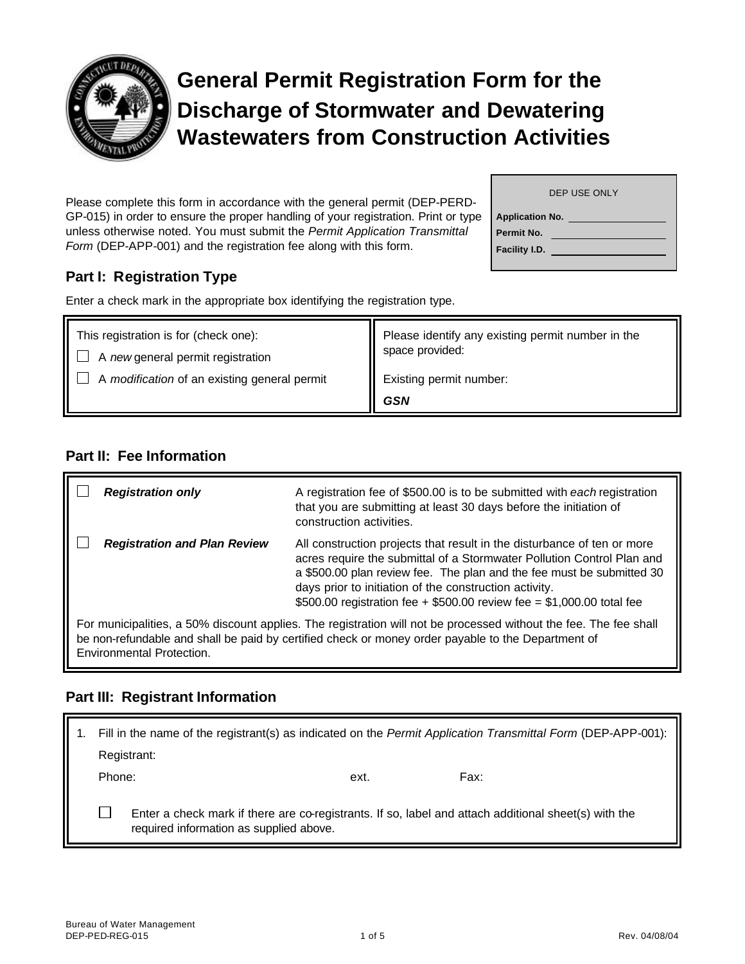

# **General Permit Registration Form for the Discharge of Stormwater and Dewatering Wastewaters from Construction Activities**

|                        | DEP USE ONLY |  |
|------------------------|--------------|--|
| <b>Application No.</b> |              |  |
| Permit No.             |              |  |
| Facility I.D.          |              |  |
|                        |              |  |

Please complete this form in accordance with the general permit (DEP-PERD-GP-015) in order to ensure the proper handling of your registration. Print or type unless otherwise noted. You must submit the *Permit Application Transmittal Form* (DEP-APP-001) and the registration fee along with this form.

# **Part I: Registration Type**

Enter a check mark in the appropriate box identifying the registration type.

| This registration is for (check one):<br>A new general permit registration | Please identify any existing permit number in the<br>space provided: |  |
|----------------------------------------------------------------------------|----------------------------------------------------------------------|--|
| A modification of an existing general permit                               | Existing permit number:                                              |  |
|                                                                            | <b>GSN</b>                                                           |  |

## **Part II: Fee Information**

| <b>Registration only</b>                                                                                                                                                                                                                             | A registration fee of \$500.00 is to be submitted with each registration<br>that you are submitting at least 30 days before the initiation of<br>construction activities.                                                                                                                                                                                      |  |
|------------------------------------------------------------------------------------------------------------------------------------------------------------------------------------------------------------------------------------------------------|----------------------------------------------------------------------------------------------------------------------------------------------------------------------------------------------------------------------------------------------------------------------------------------------------------------------------------------------------------------|--|
| <b>Registration and Plan Review</b>                                                                                                                                                                                                                  | All construction projects that result in the disturbance of ten or more<br>acres require the submittal of a Stormwater Pollution Control Plan and<br>a \$500.00 plan review fee. The plan and the fee must be submitted 30<br>days prior to initiation of the construction activity.<br>\$500.00 registration fee + \$500.00 review fee = \$1,000.00 total fee |  |
| For municipalities, a 50% discount applies. The registration will not be processed without the fee. The fee shall<br>be non-refundable and shall be paid by certified check or money order payable to the Department of<br>Environmental Protection. |                                                                                                                                                                                                                                                                                                                                                                |  |

## **Part III: Registrant Information**

| Fill in the name of the registrant(s) as indicated on the Permit Application Transmittal Form (DEP-APP-001):                                    |  |      |      |
|-------------------------------------------------------------------------------------------------------------------------------------------------|--|------|------|
| Registrant:                                                                                                                                     |  |      |      |
| Phone:                                                                                                                                          |  | ext. | Fax: |
| Enter a check mark if there are co-registrants. If so, label and attach additional sheet(s) with the<br>required information as supplied above. |  |      |      |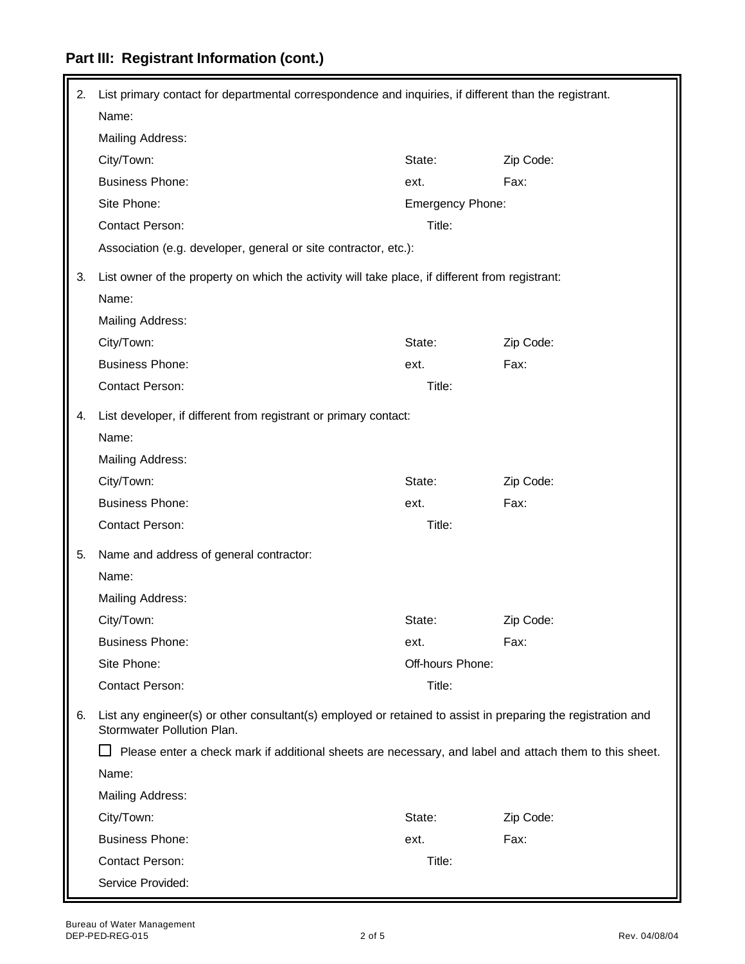# **Part III: Registrant Information (cont.)**

| 2. | List primary contact for departmental correspondence and inquiries, if different than the registrant.                                      |                  |           |
|----|--------------------------------------------------------------------------------------------------------------------------------------------|------------------|-----------|
|    | Name:                                                                                                                                      |                  |           |
|    | Mailing Address:                                                                                                                           |                  |           |
|    | City/Town:                                                                                                                                 | State:           | Zip Code: |
|    | <b>Business Phone:</b>                                                                                                                     | ext.             | Fax:      |
|    | Site Phone:                                                                                                                                | Emergency Phone: |           |
|    | Contact Person:                                                                                                                            | Title:           |           |
|    | Association (e.g. developer, general or site contractor, etc.):                                                                            |                  |           |
| 3. | List owner of the property on which the activity will take place, if different from registrant:                                            |                  |           |
|    | Name:                                                                                                                                      |                  |           |
|    | Mailing Address:                                                                                                                           |                  |           |
|    | City/Town:                                                                                                                                 | State:           | Zip Code: |
|    | <b>Business Phone:</b>                                                                                                                     | ext.             | Fax:      |
|    | <b>Contact Person:</b>                                                                                                                     | Title:           |           |
| 4. | List developer, if different from registrant or primary contact:                                                                           |                  |           |
|    | Name:                                                                                                                                      |                  |           |
|    | Mailing Address:                                                                                                                           |                  |           |
|    | City/Town:                                                                                                                                 | State:           | Zip Code: |
|    | <b>Business Phone:</b>                                                                                                                     | ext.             | Fax:      |
|    | Contact Person:                                                                                                                            | Title:           |           |
| 5. | Name and address of general contractor:                                                                                                    |                  |           |
|    | Name:                                                                                                                                      |                  |           |
|    | Mailing Address:                                                                                                                           |                  |           |
|    | City/Town:                                                                                                                                 | State:           | Zip Code: |
|    | <b>Business Phone:</b>                                                                                                                     | ext.             | Fax:      |
|    | Site Phone:                                                                                                                                | Off-hours Phone: |           |
|    | Contact Person:                                                                                                                            | Title:           |           |
| 6. | List any engineer(s) or other consultant(s) employed or retained to assist in preparing the registration and<br>Stormwater Pollution Plan. |                  |           |
|    | Please enter a check mark if additional sheets are necessary, and label and attach them to this sheet.                                     |                  |           |
|    | Name:                                                                                                                                      |                  |           |
|    | <b>Mailing Address:</b>                                                                                                                    |                  |           |
|    | City/Town:                                                                                                                                 | State:           | Zip Code: |
|    | <b>Business Phone:</b>                                                                                                                     | ext.             | Fax:      |
|    | <b>Contact Person:</b>                                                                                                                     | Title:           |           |
|    | Service Provided:                                                                                                                          |                  |           |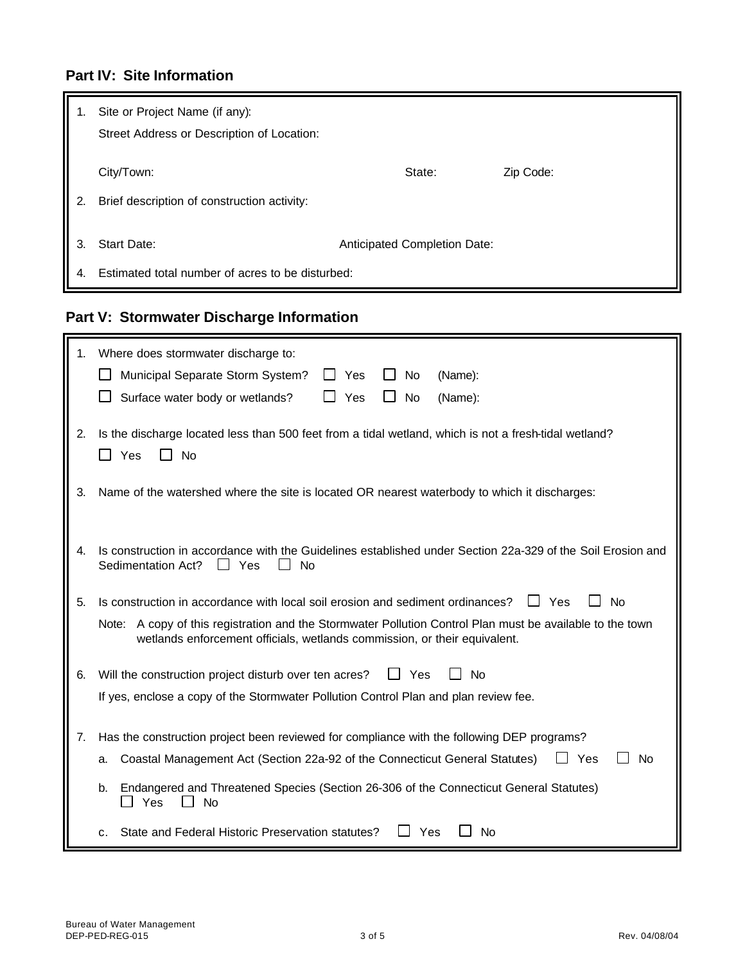# **Part IV: Site Information**

| 1.       | Site or Project Name (if any):<br>Street Address or Description of Location:                    |        |           |
|----------|-------------------------------------------------------------------------------------------------|--------|-----------|
| 2.       | City/Town:<br>Brief description of construction activity:                                       | State: | Zip Code: |
| 3.<br>4. | Start Date:<br>Anticipated Completion Date:<br>Estimated total number of acres to be disturbed: |        |           |

# **Part V: Stormwater Discharge Information**

| 1. | Where does stormwater discharge to:<br>Yes<br>Municipal Separate Storm System?<br><b>No</b><br>(Name):<br>Surface water body or wetlands?<br>Yes<br>No<br>(Name):                      |  |  |  |
|----|----------------------------------------------------------------------------------------------------------------------------------------------------------------------------------------|--|--|--|
| 2. | Is the discharge located less than 500 feet from a tidal wetland, which is not a fresh-tidal wetland?<br>$\Box$ Yes<br>No                                                              |  |  |  |
| 3. | Name of the watershed where the site is located OR nearest waterbody to which it discharges:                                                                                           |  |  |  |
| 4. | Is construction in accordance with the Guidelines established under Section 22a-329 of the Soil Erosion and<br>Sedimentation Act?<br>$\Box$ Yes<br>No                                  |  |  |  |
| 5. | Is construction in accordance with local soil erosion and sediment ordinances?<br>L Yes<br><b>No</b>                                                                                   |  |  |  |
|    | Note: A copy of this registration and the Stormwater Pollution Control Plan must be available to the town<br>wetlands enforcement officials, wetlands commission, or their equivalent. |  |  |  |
| 6. | Will the construction project disturb over ten acres?<br>$\Box$ Yes<br><b>No</b>                                                                                                       |  |  |  |
|    | If yes, enclose a copy of the Stormwater Pollution Control Plan and plan review fee.                                                                                                   |  |  |  |
| 7. | Has the construction project been reviewed for compliance with the following DEP programs?                                                                                             |  |  |  |
|    | Coastal Management Act (Section 22a-92 of the Connecticut General Statutes)<br>Yes<br><b>No</b><br>a.                                                                                  |  |  |  |
|    | Endangered and Threatened Species (Section 26-306 of the Connecticut General Statutes)<br>b.<br>Yes<br>$\blacksquare$<br><b>No</b>                                                     |  |  |  |
|    | State and Federal Historic Preservation statutes?<br>Yes<br><b>No</b><br>C.                                                                                                            |  |  |  |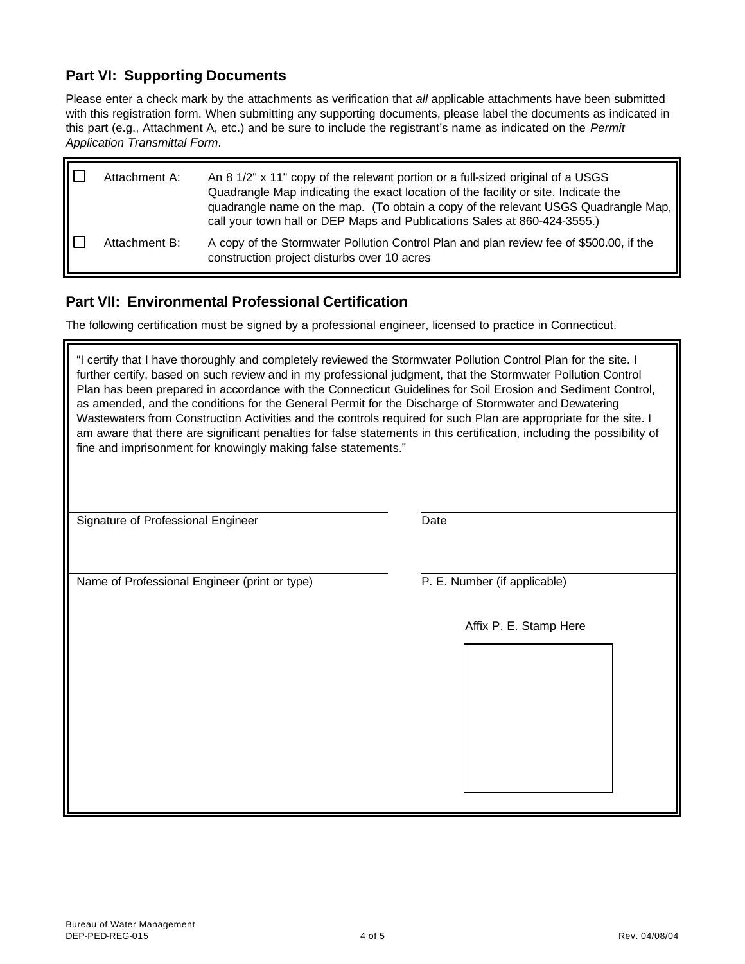#### **Part VI: Supporting Documents**

ГF

Please enter a check mark by the attachments as verification that *all* applicable attachments have been submitted with this registration form. When submitting any supporting documents, please label the documents as indicated in this part (e.g., Attachment A, etc.) and be sure to include the registrant's name as indicated on the *Permit Application Transmittal Form*.

| Attachment A: | An 8 1/2" x 11" copy of the relevant portion or a full-sized original of a USGS<br>Quadrangle Map indicating the exact location of the facility or site. Indicate the<br>quadrangle name on the map. (To obtain a copy of the relevant USGS Quadrangle Map,<br>call your town hall or DEP Maps and Publications Sales at 860-424-3555.) |
|---------------|-----------------------------------------------------------------------------------------------------------------------------------------------------------------------------------------------------------------------------------------------------------------------------------------------------------------------------------------|
| Attachment B: | A copy of the Stormwater Pollution Control Plan and plan review fee of \$500.00, if the<br>construction project disturbs over 10 acres                                                                                                                                                                                                  |

#### **Part VII: Environmental Professional Certification**

The following certification must be signed by a professional engineer, licensed to practice in Connecticut.

| "I certify that I have thoroughly and completely reviewed the Stormwater Pollution Control Plan for the site. I<br>further certify, based on such review and in my professional judgment, that the Stormwater Pollution Control<br>Plan has been prepared in accordance with the Connecticut Guidelines for Soil Erosion and Sediment Control,<br>as amended, and the conditions for the General Permit for the Discharge of Stormwater and Dewatering<br>Wastewaters from Construction Activities and the controls required for such Plan are appropriate for the site. I<br>am aware that there are significant penalties for false statements in this certification, including the possibility of<br>fine and imprisonment for knowingly making false statements." |                              |
|-----------------------------------------------------------------------------------------------------------------------------------------------------------------------------------------------------------------------------------------------------------------------------------------------------------------------------------------------------------------------------------------------------------------------------------------------------------------------------------------------------------------------------------------------------------------------------------------------------------------------------------------------------------------------------------------------------------------------------------------------------------------------|------------------------------|
| Signature of Professional Engineer                                                                                                                                                                                                                                                                                                                                                                                                                                                                                                                                                                                                                                                                                                                                    | Date                         |
|                                                                                                                                                                                                                                                                                                                                                                                                                                                                                                                                                                                                                                                                                                                                                                       |                              |
| Name of Professional Engineer (print or type)                                                                                                                                                                                                                                                                                                                                                                                                                                                                                                                                                                                                                                                                                                                         | P. E. Number (if applicable) |
|                                                                                                                                                                                                                                                                                                                                                                                                                                                                                                                                                                                                                                                                                                                                                                       | Affix P. E. Stamp Here       |
|                                                                                                                                                                                                                                                                                                                                                                                                                                                                                                                                                                                                                                                                                                                                                                       |                              |
|                                                                                                                                                                                                                                                                                                                                                                                                                                                                                                                                                                                                                                                                                                                                                                       |                              |
|                                                                                                                                                                                                                                                                                                                                                                                                                                                                                                                                                                                                                                                                                                                                                                       |                              |
|                                                                                                                                                                                                                                                                                                                                                                                                                                                                                                                                                                                                                                                                                                                                                                       |                              |
|                                                                                                                                                                                                                                                                                                                                                                                                                                                                                                                                                                                                                                                                                                                                                                       |                              |
|                                                                                                                                                                                                                                                                                                                                                                                                                                                                                                                                                                                                                                                                                                                                                                       |                              |